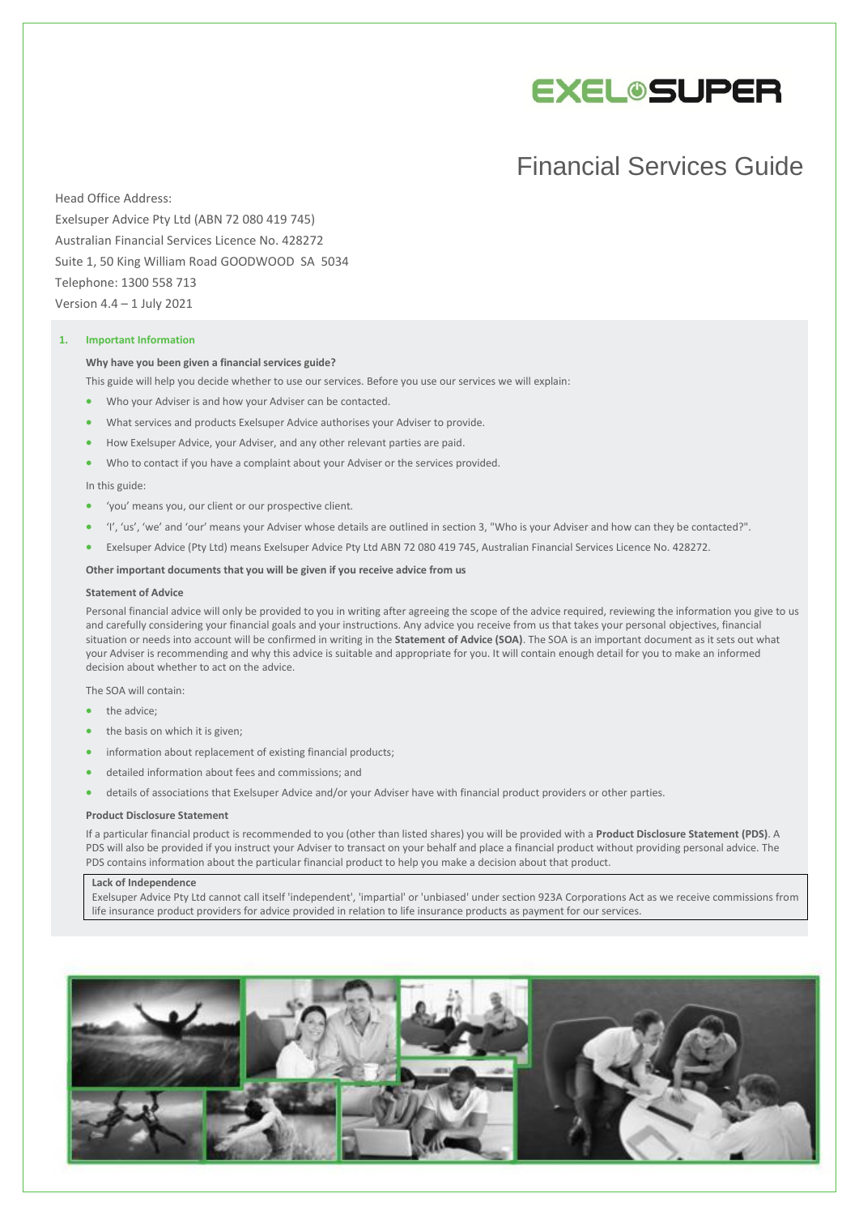

# Financial Services Guide

Head Office Address: Exelsuper Advice Pty Ltd (ABN 72 080 419 745) Australian Financial Services Licence No. 428272 Suite 1, 50 King William Road GOODWOOD SA 5034 Telephone: 1300 558 713 Version 4.4 – 1 July 2021

# **1. Important Information**

#### **Why have you been given a financial services guide?**

- This guide will help you decide whether to use our services. Before you use our services we will explain:
- Who your Adviser is and how your Adviser can be contacted.
- What services and products Exelsuper Advice authorises your Adviser to provide.
- How Exelsuper Advice, your Adviser, and any other relevant parties are paid.
- Who to contact if you have a complaint about your Adviser or the services provided.

## In this guide:

- 'you' means you, our client or our prospective client.
- 'I', 'us', 'we' and 'our' means your Adviser whose details are outlined in section 3, "Who is your Adviser and how can they be contacted?".
- Exelsuper Advice (Pty Ltd) means Exelsuper Advice Pty Ltd ABN 72 080 419 745, Australian Financial Services Licence No. 428272.

## **Other important documents that you will be given if you receive advice from us**

## **Statement of Advice**

Personal financial advice will only be provided to you in writing after agreeing the scope of the advice required, reviewing the information you give to us and carefully considering your financial goals and your instructions. Any advice you receive from us that takes your personal objectives, financial situation or needs into account will be confirmed in writing in the **Statement of Advice (SOA)**. The SOA is an important document as it sets out what your Adviser is recommending and why this advice is suitable and appropriate for you. It will contain enough detail for you to make an informed decision about whether to act on the advice.

The SOA will contain:

- the advice:
- the basis on which it is given;
- information about replacement of existing financial products;
- detailed information about fees and commissions; and
- details of associations that Exelsuper Advice and/or your Adviser have with financial product providers or other parties.

#### **Product Disclosure Statement**

If a particular financial product is recommended to you (other than listed shares) you will be provided with a **Product Disclosure Statement (PDS)**. A PDS will also be provided if you instruct your Adviser to transact on your behalf and place a financial product without providing personal advice. The PDS contains information about the particular financial product to help you make a decision about that product.

#### **Lack of Independence**

Exelsuper Advice Pty Ltd cannot call itself 'independent', 'impartial' or 'unbiased' under section 923A Corporations Act as we receive commissions from life insurance product providers for advice provided in relation to life insurance products as payment for our services.

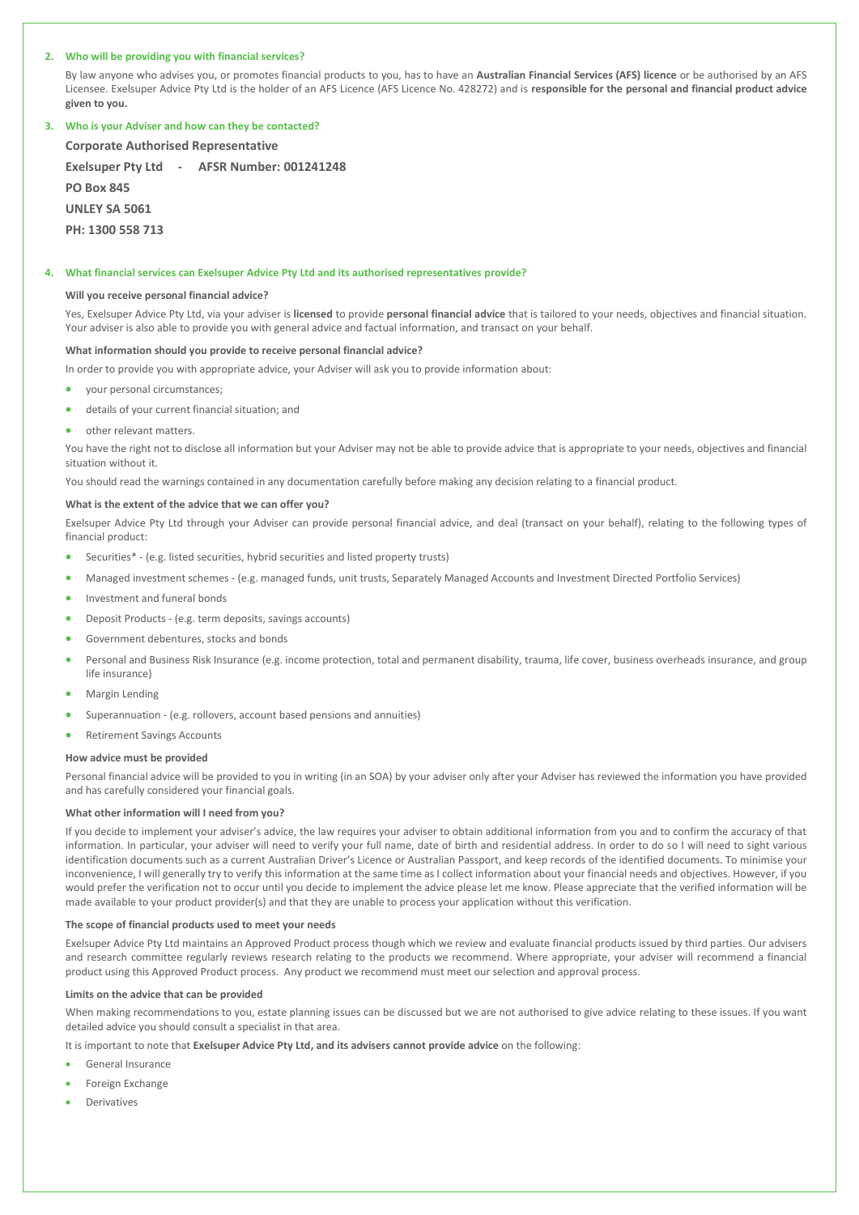## **2. Who will be providing you with financial services?**

By law anyone who advises you, or promotes financial products to you, has to have an **Australian Financial Services (AFS) licence** or be authorised by an AFS Licensee. Exelsuper Advice Pty Ltd is the holder of an AFS Licence (AFS Licence No. 428272) and is **responsible for the personal and financial product advice given to you.**

# **3. Who is your Adviser and how can they be contacted?**

**Corporate Authorised Representative Exelsuper Pty Ltd - AFSR Number: 001241248 PO Box 845 UNLEY SA 5061 PH: 1300 558 713**

#### **4. What financial services can Exelsuper Advice Pty Ltd and its authorised representatives provide?**

## **Will you receive personal financial advice?**

Yes, Exelsuper Advice Pty Ltd, via your adviser is **licensed** to provide **personal financial advice** that is tailored to your needs, objectives and financial situation. Your adviser is also able to provide you with general advice and factual information, and transact on your behalf.

#### **What information should you provide to receive personal financial advice?**

In order to provide you with appropriate advice, your Adviser will ask you to provide information about:

- your personal circumstances;
- details of your current financial situation; and
- other relevant matters.

You have the right not to disclose all information but your Adviser may not be able to provide advice that is appropriate to your needs, objectives and financial situation without it.

You should read the warnings contained in any documentation carefully before making any decision relating to a financial product.

#### **What is the extent of the advice that we can offer you?**

Exelsuper Advice Pty Ltd through your Adviser can provide personal financial advice, and deal (transact on your behalf), relating to the following types of financial product:

- Securities\* (e.g. listed securities, hybrid securities and listed property trusts)
- Managed investment schemes (e.g. managed funds, unit trusts, Separately Managed Accounts and Investment Directed Portfolio Services)
- Investment and funeral bonds
- Deposit Products (e.g. term deposits, savings accounts)
- Government debentures, stocks and bonds
- Personal and Business Risk Insurance (e.g. income protection, total and permanent disability, trauma, life cover, business overheads insurance, and group life insurance)
- Margin Lending
- Superannuation (e.g. rollovers, account based pensions and annuities)
- Retirement Savings Accounts

# **How advice must be provided**

Personal financial advice will be provided to you in writing (in an SOA) by your adviser only after your Adviser has reviewed the information you have provided and has carefully considered your financial goals.

## **What other information will I need from you?**

If you decide to implement your adviser's advice, the law requires your adviser to obtain additional information from you and to confirm the accuracy of that information. In particular, your adviser will need to verify your full name, date of birth and residential address. In order to do so I will need to sight various identification documents such as a current Australian Driver's Licence or Australian Passport, and keep records of the identified documents. To minimise your inconvenience, I will generally try to verify this information at the same time as I collect information about your financial needs and objectives. However, if you would prefer the verification not to occur until you decide to implement the advice please let me know. Please appreciate that the verified information will be made available to your product provider(s) and that they are unable to process your application without this verification.

# **The scope of financial products used to meet your needs**

Exelsuper Advice Pty Ltd maintains an Approved Product process though which we review and evaluate financial products issued by third parties. Our advisers and research committee regularly reviews research relating to the products we recommend. Where appropriate, your adviser will recommend a financial product using this Approved Product process. Any product we recommend must meet our selection and approval process.

#### **Limits on the advice that can be provided**

When making recommendations to you, estate planning issues can be discussed but we are not authorised to give advice relating to these issues. If you want detailed advice you should consult a specialist in that area.

It is important to note that **Exelsuper Advice Pty Ltd, and its advisers cannot provide advice** on the following:

- General Insurance
- Foreign Exchange
- Derivatives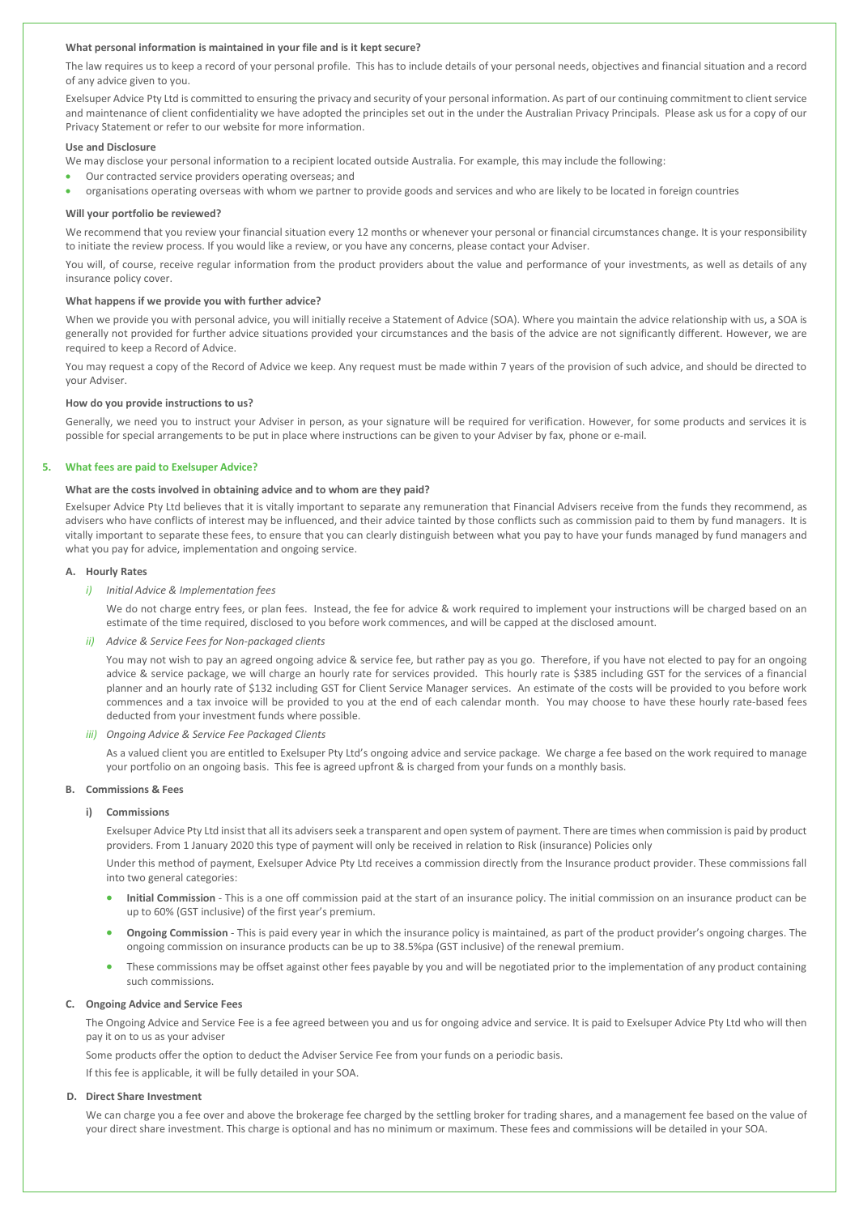## **What personal information is maintained in your file and is it kept secure?**

The law requires us to keep a record of your personal profile. This has to include details of your personal needs, objectives and financial situation and a record of any advice given to you.

Exelsuper Advice Pty Ltd is committed to ensuring the privacy and security of your personal information. As part of our continuing commitment to client service and maintenance of client confidentiality we have adopted the principles set out in the under the Australian Privacy Principals. Please ask us for a copy of our Privacy Statement or refer to our website for more information.

## **Use and Disclosure**

We may disclose your personal information to a recipient located outside Australia. For example, this may include the following:

- Our contracted service providers operating overseas; and
- organisations operating overseas with whom we partner to provide goods and services and who are likely to be located in foreign countries

#### **Will your portfolio be reviewed?**

We recommend that you review your financial situation every 12 months or whenever your personal or financial circumstances change. It is your responsibility to initiate the review process. If you would like a review, or you have any concerns, please contact your Adviser.

You will, of course, receive regular information from the product providers about the value and performance of your investments, as well as details of any insurance policy cover.

#### **What happens if we provide you with further advice?**

When we provide you with personal advice, you will initially receive a Statement of Advice (SOA). Where you maintain the advice relationship with us, a SOA is generally not provided for further advice situations provided your circumstances and the basis of the advice are not significantly different. However, we are required to keep a Record of Advice.

You may request a copy of the Record of Advice we keep. Any request must be made within 7 years of the provision of such advice, and should be directed to your Adviser.

#### **How do you provide instructions to us?**

Generally, we need you to instruct your Adviser in person, as your signature will be required for verification. However, for some products and services it is possible for special arrangements to be put in place where instructions can be given to your Adviser by fax, phone or e-mail.

# **5. What fees are paid to Exelsuper Advice?**

## **What are the costs involved in obtaining advice and to whom are they paid?**

Exelsuper Advice Pty Ltd believes that it is vitally important to separate any remuneration that Financial Advisers receive from the funds they recommend, as advisers who have conflicts of interest may be influenced, and their advice tainted by those conflicts such as commission paid to them by fund managers. It is vitally important to separate these fees, to ensure that you can clearly distinguish between what you pay to have your funds managed by fund managers and what you pay for advice, implementation and ongoing service.

## **A. Hourly Rates**

*i) Initial Advice & Implementation fees*

We do not charge entry fees, or plan fees. Instead, the fee for advice & work required to implement your instructions will be charged based on an estimate of the time required, disclosed to you before work commences, and will be capped at the disclosed amount.

#### *ii) Advice & Service Fees for Non-packaged clients*

You may not wish to pay an agreed ongoing advice & service fee, but rather pay as you go. Therefore, if you have not elected to pay for an ongoing advice & service package, we will charge an hourly rate for services provided. This hourly rate is \$385 including GST for the services of a financial planner and an hourly rate of \$132 including GST for Client Service Manager services. An estimate of the costs will be provided to you before work commences and a tax invoice will be provided to you at the end of each calendar month. You may choose to have these hourly rate-based fees deducted from your investment funds where possible.

## *iii) Ongoing Advice & Service Fee Packaged Clients*

As a valued client you are entitled to Exelsuper Pty Ltd's ongoing advice and service package. We charge a fee based on the work required to manage your portfolio on an ongoing basis. This fee is agreed upfront & is charged from your funds on a monthly basis.

## **B. Commissions & Fees**

### **i) Commissions**

Exelsuper Advice Pty Ltd insist that all its advisersseek a transparent and open system of payment. There are times when commission is paid by product providers. From 1 January 2020 this type of payment will only be received in relation to Risk (insurance) Policies only

Under this method of payment, Exelsuper Advice Pty Ltd receives a commission directly from the Insurance product provider. These commissions fall into two general categories:

- **Initial Commission** This is a one off commission paid at the start of an insurance policy. The initial commission on an insurance product can be up to 60% (GST inclusive) of the first year's premium.
- **Ongoing Commission** This is paid every year in which the insurance policy is maintained, as part of the product provider's ongoing charges. The ongoing commission on insurance products can be up to 38.5%pa (GST inclusive) of the renewal premium.
- These commissions may be offset against other fees payable by you and will be negotiated prior to the implementation of any product containing such commissions.

## **C. Ongoing Advice and Service Fees**

The Ongoing Advice and Service Fee is a fee agreed between you and us for ongoing advice and service. It is paid to Exelsuper Advice Pty Ltd who will then pay it on to us as your adviser

Some products offer the option to deduct the Adviser Service Fee from your funds on a periodic basis.

If this fee is applicable, it will be fully detailed in your SOA.

## **D. Direct Share Investment**

We can charge you a fee over and above the brokerage fee charged by the settling broker for trading shares, and a management fee based on the value of your direct share investment. This charge is optional and has no minimum or maximum. These fees and commissions will be detailed in your SOA.